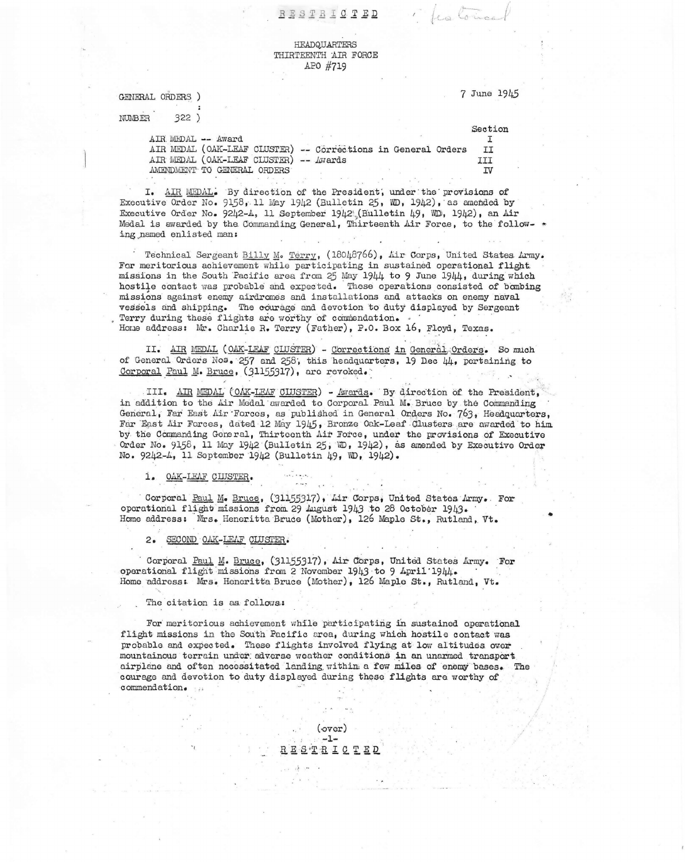RESTRICTED

## HEADQUARTERS THIRTEENTH AIR FORCE APO #719

GENERAL ORDERS )

**NUMBER**  $322)$  7 June 1945

Section

Les Coi

AIR MEDAL -- Award  $T$ AIR MEDAL (OAK-LEAF CLUSTER) -- Corrections in General Orders II AIR MEDAL (OAK-LEAF CLUSTER) -- Awards III AMENDMENT TO GENERAL ORDERS **IV** 

I. AIR MEDAL. By direction of the President, under the provisions of Executive Order No. 9158, 11 May 1942 (Bulletin 25, WD, 1942), as amended by Executive Order No. 9242-4, 11 September 1942 (Bulletin 49, WD, 1942), an Air Medal is awarded by the Commanding General, Thirteenth Air Force, to the following named enlisted man:

Technical Sergeant Billy M. Terry, (18048766), Air Corps, United States Army. For meritorious achievement while participating in sustained operational flight missions in the South Pacific area from 25 May 1944 to 9 June 1944, during which hostile contact was probable and expected. These operations consisted of bombing missions against enemy airdromes and installations and attacks on enemy naval vessels and shipping. The courage and devotion to duty displayed by Sergeant Terry during these flights are worthy of commendation. Home address: Mr. Charlie R. Terry (Father), P.O. Box 16, Floyd, Texas.

II. AIR MEDAL (OAK-LEAF CLUSTER) - Corrections in General Orders. So much of General Orders Nos. 257 and 258, this headquarters, 19 Dec 44, pertaining to Corporal Paul M. Bruce, (31155317), are revoked.

III. AIR MEDAL (OAK-LEAF CLUSTER) - Awards. By direction of the President. in addition to the Air Medal awarded to Corporal Paul M. Bruce by the Commanding General, Far East Air Forces, as published in General Orders No. 763, Headquarters, Far East Air Forces, dated 12 May 1945, Bronze Oak-Leaf Clusters are awarded to him by the Commanding General, Thirteenth Air Force, under the provisions of Executive Order No. 9158, 11 May 1942 (Bulletin 25, WD, 1942), as amended by Executive Order No. 9242-4, 11 September 1942 (Bulletin 49, WD, 1942).

1. OAK-LEAF CLUSTER.

Corporal Paul M. Bruce, (31155317), Lir Corps, United States Army. For operational flight missions from 29 August 1943 to 28 October 1943. Home address: Mrs. Heneritta Bruce (Mother), 126 Maple St., Rutland, Vt.

2. SECOND OAK-LEAF CLUSTER.

Corporal Paul M. Bruce, (31155317), Air Corps, United States Army. For operational flight missions from 2 November 1943 to 9 April 1944. Home address: Mrs. Heneritta Bruce (Mother), 126 Maple St., Rutland, Vt.

The citation is as follows:

For meritorious achievement while participating in sustained operational flight missions in the South Pacific area, during which hostile contact was probable and expected. These flights involved flying at low altitudes over mountainous terrain under adverse weather conditions in an unarmed transport airplane and often necessitated landing within a few miles of enemy bases. The courage and devotion to duty displayed during these flights are worthy of commendation.

> $(\text{over})$  $-1-$ RESTRICTED